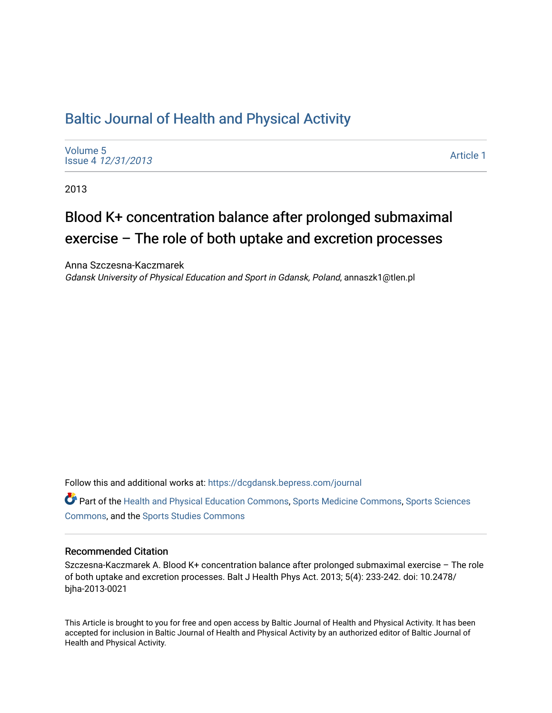# [Baltic Journal of Health and Physical Activity](https://dcgdansk.bepress.com/journal)

[Volume 5](https://dcgdansk.bepress.com/journal/vol5) Issue 4 [12/31/2013](https://dcgdansk.bepress.com/journal/vol5/iss4)

[Article 1](https://dcgdansk.bepress.com/journal/vol5/iss4/1) 

2013

# Blood K+ concentration balance after prolonged submaximal exercise – The role of both uptake and excretion processes

Anna Szczesna-Kaczmarek Gdansk University of Physical Education and Sport in Gdansk, Poland, annaszk1@tlen.pl

Follow this and additional works at: [https://dcgdansk.bepress.com/journal](https://dcgdansk.bepress.com/journal?utm_source=dcgdansk.bepress.com%2Fjournal%2Fvol5%2Fiss4%2F1&utm_medium=PDF&utm_campaign=PDFCoverPages)

Part of the [Health and Physical Education Commons](http://network.bepress.com/hgg/discipline/1327?utm_source=dcgdansk.bepress.com%2Fjournal%2Fvol5%2Fiss4%2F1&utm_medium=PDF&utm_campaign=PDFCoverPages), [Sports Medicine Commons,](http://network.bepress.com/hgg/discipline/1331?utm_source=dcgdansk.bepress.com%2Fjournal%2Fvol5%2Fiss4%2F1&utm_medium=PDF&utm_campaign=PDFCoverPages) [Sports Sciences](http://network.bepress.com/hgg/discipline/759?utm_source=dcgdansk.bepress.com%2Fjournal%2Fvol5%2Fiss4%2F1&utm_medium=PDF&utm_campaign=PDFCoverPages) [Commons](http://network.bepress.com/hgg/discipline/759?utm_source=dcgdansk.bepress.com%2Fjournal%2Fvol5%2Fiss4%2F1&utm_medium=PDF&utm_campaign=PDFCoverPages), and the [Sports Studies Commons](http://network.bepress.com/hgg/discipline/1198?utm_source=dcgdansk.bepress.com%2Fjournal%2Fvol5%2Fiss4%2F1&utm_medium=PDF&utm_campaign=PDFCoverPages) 

#### Recommended Citation

Szczesna-Kaczmarek A. Blood K+ concentration balance after prolonged submaximal exercise – The role of both uptake and excretion processes. Balt J Health Phys Act. 2013; 5(4): 233-242. doi: 10.2478/ bjha-2013-0021

This Article is brought to you for free and open access by Baltic Journal of Health and Physical Activity. It has been accepted for inclusion in Baltic Journal of Health and Physical Activity by an authorized editor of Baltic Journal of Health and Physical Activity.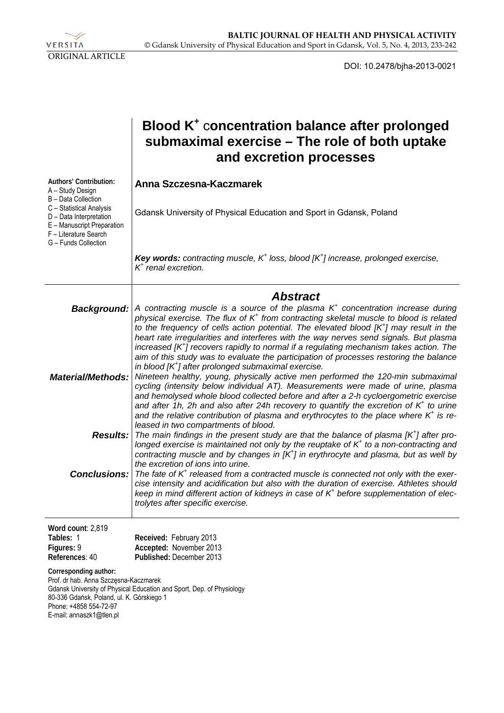

DOI: 10.2478/bjha-2013-0021

|                                                                                                                                                                                                                                            | Blood K <sup>+</sup> concentration balance after prolonged<br>submaximal exercise – The role of both uptake<br>and excretion processes                                                                                                                                                                                                                                                                                                             |
|--------------------------------------------------------------------------------------------------------------------------------------------------------------------------------------------------------------------------------------------|----------------------------------------------------------------------------------------------------------------------------------------------------------------------------------------------------------------------------------------------------------------------------------------------------------------------------------------------------------------------------------------------------------------------------------------------------|
| Authors' Contribution:<br>A - Study Design<br>B - Data Collection                                                                                                                                                                          | Anna Szczesna-Kaczmarek                                                                                                                                                                                                                                                                                                                                                                                                                            |
| C - Statistical Analysis<br>D - Data Interpretation<br>E - Manuscript Preparation<br>F - Literature Search<br>G - Funds Collection                                                                                                         | Gdansk University of Physical Education and Sport in Gdansk, Poland                                                                                                                                                                                                                                                                                                                                                                                |
|                                                                                                                                                                                                                                            | <b>Key words:</b> contracting muscle, $K^+$ loss, blood $[K^+]$ increase, prolonged exercise,<br>$K^+$ renal excretion.                                                                                                                                                                                                                                                                                                                            |
|                                                                                                                                                                                                                                            | <b>Abstract</b>                                                                                                                                                                                                                                                                                                                                                                                                                                    |
| <b>Background:</b>                                                                                                                                                                                                                         | A contracting muscle is a source of the plasma $K+$ concentration increase during<br>physical exercise. The flux of K <sup>+</sup> from contracting skeletal muscle to blood is related<br>to the frequency of cells action potential. The elevated blood $[K^{\dagger}]$ may result in the<br>heart rate irregularities and interferes with the way nerves send signals. But plasma                                                               |
|                                                                                                                                                                                                                                            | increased $[K^{\dagger}]$ recovers rapidly to normal if a regulating mechanism takes action. The<br>aim of this study was to evaluate the participation of processes restoring the balance<br>in blood $[K^{\dagger}]$ after prolonged submaximal exercise.                                                                                                                                                                                        |
| <b>Material/Methods:</b>                                                                                                                                                                                                                   | Nineteen healthy, young, physically active men performed the 120-min submaximal<br>cycling (intensity below individual AT). Measurements were made of urine, plasma<br>and hemolysed whole blood collected before and after a 2-h cycloergometric exercise<br>and after 1h, 2h and also after 24h recovery to quantify the excretion of $K^*$ to urine<br>and the relative contribution of plasma and erythrocytes to the place where $K^+$ is re- |
| <b>Results:</b>                                                                                                                                                                                                                            | leased in two compartments of blood.<br>The main findings in the present study are that the balance of plasma $[K^+]$ after pro-<br>longed exercise is maintained not only by the reuptake of $K^+$ to a non-contracting and<br>contracting muscle and by changes in $[K^{\dagger}]$ in erythrocyte and plasma, but as well by                                                                                                                     |
| <b>Conclusions:</b>                                                                                                                                                                                                                        | the excretion of ions into urine.<br>The fate of $K^+$ released from a contracted muscle is connected not only with the exer-<br>cise intensity and acidification but also with the duration of exercise. Athletes should<br>keep in mind different action of kidneys in case of $K+$ before supplementation of elec-<br>trolytes after specific exercise.                                                                                         |
| Word count: 2,819<br>Tables: 1<br>Figures: 9<br>References: 40                                                                                                                                                                             | Received: February 2013<br>Accepted: November 2013<br>Published: December 2013                                                                                                                                                                                                                                                                                                                                                                     |
| Corresponding author:<br>Prof. dr hab. Anna Szczęsna-Kaczmarek<br>Gdansk University of Physical Education and Sport, Dep. of Physiology<br>80-336 Gdańsk, Poland, ul. K. Górskiego 1<br>Phone: +4858 554-72-97<br>E-mail: annaszk1@tlen.pl |                                                                                                                                                                                                                                                                                                                                                                                                                                                    |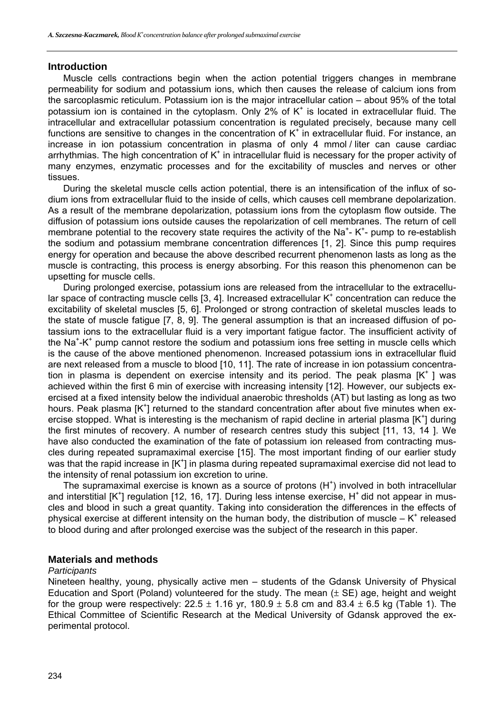#### **Introduction**

Muscle cells contractions begin when the action potential triggers changes in membrane permeability for sodium and potassium ions, which then causes the release of calcium ions from the sarcoplasmic reticulum. Potassium ion is the major intracellular cation – about 95% of the total potassium ion is contained in the cytoplasm. Only  $2\%$  of K<sup>+</sup> is located in extracellular fluid. The intracellular and extracellular potassium concentration is regulated precisely, because many cell functions are sensitive to changes in the concentration of  $K^+$  in extracellular fluid. For instance, an increase in ion potassium concentration in plasma of only 4 mmol / liter can cause cardiac arrhythmias. The high concentration of  $K^+$  in intracellular fluid is necessary for the proper activity of many enzymes, enzymatic processes and for the excitability of muscles and nerves or other tissues.

During the skeletal muscle cells action potential, there is an intensification of the influx of sodium ions from extracellular fluid to the inside of cells, which causes cell membrane depolarization. As a result of the membrane depolarization, potassium ions from the cytoplasm flow outside. The diffusion of potassium ions outside causes the repolarization of cell membranes. The return of cell membrane potential to the recovery state requires the activity of the Na<sup>+</sup>-K<sup>+</sup>- pump to re-establish the sodium and potassium membrane concentration differences [1, 2]. Since this pump requires energy for operation and because the above described recurrent phenomenon lasts as long as the muscle is contracting, this process is energy absorbing. For this reason this phenomenon can be upsetting for muscle cells.

During prolonged exercise, potassium ions are released from the intracellular to the extracellular space of contracting muscle cells  $[3, 4]$ . Increased extracellular  $K^+$  concentration can reduce the excitability of skeletal muscles [5, 6]. Prolonged or strong contraction of skeletal muscles leads to the state of muscle fatigue [7, 8, 9]. The general assumption is that an increased diffusion of potassium ions to the extracellular fluid is a very important fatigue factor. The insufficient activity of the Na<sup>+</sup>-K<sup>+</sup> pump cannot restore the sodium and potassium ions free setting in muscle cells which is the cause of the above mentioned phenomenon. Increased potassium ions in extracellular fluid are next released from a muscle to blood [10, 11]. The rate of increase in ion potassium concentration in plasma is dependent on exercise intensity and its period. The peak plasma  $[K^+]$  was achieved within the first 6 min of exercise with increasing intensity [12]. However, our subjects exercised at a fixed intensity below the individual anaerobic thresholds (AT) but lasting as long as two hours. Peak plasma [K<sup>+</sup>] returned to the standard concentration after about five minutes when exercise stopped. What is interesting is the mechanism of rapid decline in arterial plasma  $[K^+]$  during the first minutes of recovery. A number of research centres study this subject [11, 13, 14 ]. We have also conducted the examination of the fate of potassium ion released from contracting muscles during repeated supramaximal exercise [15]. The most important finding of our earlier study was that the rapid increase in  $[K^+]$  in plasma during repeated supramaximal exercise did not lead to the intensity of renal potassium ion excretion to urine.

The supramaximal exercise is known as a source of protons  $(H<sup>+</sup>)$  involved in both intracellular and interstitial  $[K^+]$  regulation [12, 16, 17]. During less intense exercise, H<sup>+</sup> did not appear in muscles and blood in such a great quantity. Taking into consideration the differences in the effects of physical exercise at different intensity on the human body, the distribution of muscle  $-K^*$  released to blood during and after prolonged exercise was the subject of the research in this paper.

#### **Materials and methods**

#### *Participants*

Nineteen healthy, young, physically active men – students of the Gdansk University of Physical Education and Sport (Poland) volunteered for the study. The mean  $(\pm S E)$  age, height and weight for the group were respectively:  $22.5 \pm 1.16$  yr,  $180.9 \pm 5.8$  cm and  $83.4 \pm 6.5$  kg (Table 1). The Ethical Committee of Scientific Research at the Medical University of Gdansk approved the experimental protocol.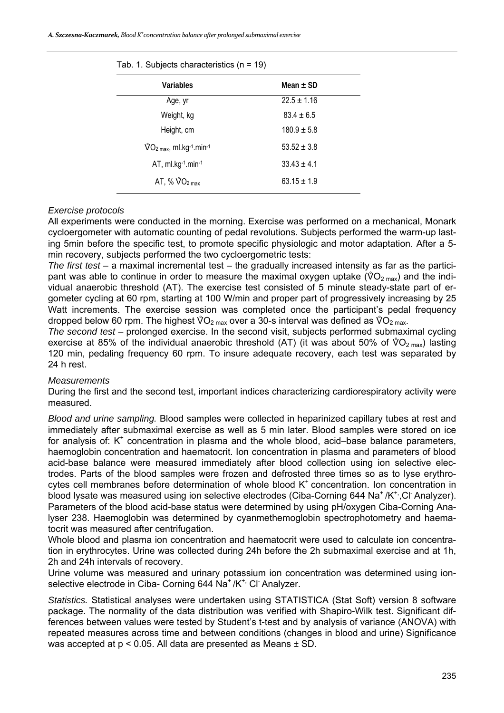*A. Szczesna-Kaczmarek, Blood K+ concentration balance after prolonged submaximal exercise* 

| Variables                                                                 | Mean $\pm$ SD   |
|---------------------------------------------------------------------------|-----------------|
| Age, yr                                                                   | $22.5 \pm 1.16$ |
| Weight, kg                                                                | $83.4 \pm 6.5$  |
| Height, cm                                                                | $180.9 \pm 5.8$ |
| $\sqrt[6]{O_{2}}$ <sub>max</sub> , ml.kg <sup>-1</sup> .min <sup>-1</sup> | $53.52 \pm 3.8$ |
| AT, ml.kg-1.min-1                                                         | $33.43 \pm 4.1$ |
| AT, % $\sqrt[6]{O_{2}}$ <sub>max</sub>                                    | $63.15 \pm 1.9$ |

Tab. 1. Subjects characteristics (n = 19)

#### *Exercise protocols*

All experiments were conducted in the morning. Exercise was performed on a mechanical, Monark cycloergometer with automatic counting of pedal revolutions. Subjects performed the warm-up lasting 5min before the specific test, to promote specific physiologic and motor adaptation. After a 5 min recovery, subjects performed the two cycloergometric tests:

*The first test* – a maximal incremental test – the gradually increased intensity as far as the participant was able to continue in order to measure the maximal oxygen uptake ( $\sqrt[6]{O_{2 \text{ max}}}$ ) and the individual anaerobic threshold (AT). The exercise test consisted of 5 minute steady-state part of ergometer cycling at 60 rpm, starting at 100 W/min and proper part of progressively increasing by 25 Watt increments. The exercise session was completed once the participant's pedal frequency dropped below 60 rpm. The highest  $\sqrt[6]{O_{2 \text{ max}}}$  over a 30-s interval was defined as  $\sqrt[6]{O_{2 \text{ max}}}$ .

*The second test* – prolonged exercise. In the second visit, subjects performed submaximal cycling exercise at 85% of the individual anaerobic threshold (AT) (it was about 50% of  $\sqrt[6]{O_{2 \text{ max}}}$ ) lasting 120 min, pedaling frequency 60 rpm. To insure adequate recovery, each test was separated by 24 h rest.

#### *Measurements*

During the first and the second test, important indices characterizing cardiorespiratory activity were measured.

*Blood and urine sampling.* Blood samples were collected in heparinized capillary tubes at rest and immediately after submaximal exercise as well as 5 min later. Blood samples were stored on ice for analysis of:  $K^+$  concentration in plasma and the whole blood, acid-base balance parameters, haemoglobin concentration and haematocrit. Ion concentration in plasma and parameters of blood acid-base balance were measured immediately after blood collection using ion selective electrodes. Parts of the blood samples were frozen and defrosted three times so as to lyse erythrocytes cell membranes before determination of whole blood  $K<sup>+</sup>$  concentration. Ion concentration in blood lysate was measured using ion selective electrodes (Ciba-Corning 644 Na<sup>+</sup>/K<sup>+</sup>,Cl<sup>-</sup> Analyzer). Parameters of the blood acid-base status were determined by using pH/oxygen Ciba-Corning Analyser 238. Haemoglobin was determined by cyanmethemoglobin spectrophotometry and haematocrit was measured after centrifugation.

Whole blood and plasma ion concentration and haematocrit were used to calculate ion concentration in erythrocytes. Urine was collected during 24h before the 2h submaximal exercise and at 1h, 2h and 24h intervals of recovery.

Urine volume was measured and urinary potassium ion concentration was determined using ionselective electrode in Ciba- Corning 644 Na<sup>+</sup> /K<sup>+,</sup> Cl<sup>-</sup> Analyzer.

*Statistics.* Statistical analyses were undertaken using STATISTICA (Stat Soft) version 8 software package. The normality of the data distribution was verified with Shapiro-Wilk test. Significant differences between values were tested by Student's t-test and by analysis of variance (ANOVA) with repeated measures across time and between conditions (changes in blood and urine) Significance was accepted at p < 0.05. All data are presented as Means ± SD.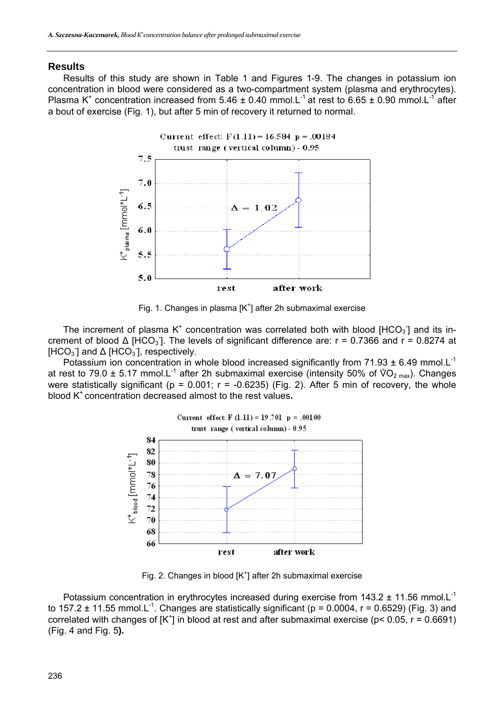#### **Results**

Results of this study are shown in Table 1 and Figures 1-9. The changes in potassium ion concentration in blood were considered as a two-compartment system (plasma and erythrocytes). Plasma K<sup>+</sup> concentration increased from 5.46  $\pm$  0.40 mmol.L<sup>-1</sup> at rest to 6.65  $\pm$  0.90 mmol.L<sup>-1</sup> after a bout of exercise (Fig. 1), but after 5 min of recovery it returned to normal.



Fig. 1. Changes in plasma [K<sup>+</sup>] after 2h submaximal exercise

The increment of plasma K<sup>+</sup> concentration was correlated both with blood [HCO<sub>3</sub>] and its increment of blood  $\Delta$  [HCO<sub>3</sub>]. The levels of significant difference are: r = 0.7366 and r = 0.8274 at [HCO<sub>3</sub>] and  $\Delta$  [HCO<sub>3</sub>], respectively.

Potassium ion concentration in whole blood increased significantly from 71.93  $\pm$  6.49 mmol.L<sup>-1</sup> at rest to 79.0  $\pm$  5.17 mmol.L<sup>-1</sup> after 2h submaximal exercise (intensity 50% of  $\sqrt[6]{O_{2 \text{ max}}}$ ). Changes were statistically significant (p =  $0.001$ ; r =  $-0.6235$ ) (Fig. 2). After 5 min of recovery, the whole blood K+ concentration decreased almost to the rest values**.** 



Fig. 2. Changes in blood  $[K^{\dagger}]$  after 2h submaximal exercise

Potassium concentration in erythrocytes increased during exercise from 143.2  $\pm$  11.56 mmol.L<sup>-1</sup> to 157.2  $\pm$  11.55 mmol.L<sup>-1</sup>. Changes are statistically significant (p = 0.0004, r = 0.6529) (Fig. 3) and correlated with changes of  $[K^+]$  in blood at rest and after submaximal exercise ( $p < 0.05$ ,  $r = 0.6691$ ) (Fig. 4 and Fig. 5**).**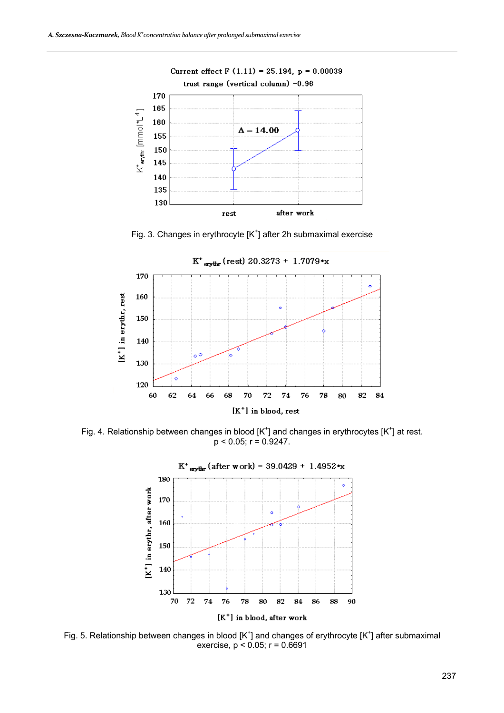

Fig. 3. Changes in erythrocyte  $[K^+]$  after 2h submaximal exercise



Fig. 4. Relationship between changes in blood  $[K^{\dagger}]$  and changes in erythrocytes  $[K^{\dagger}]$  at rest.  $p < 0.05$ ;  $r = 0.9247$ .



Fig. 5. Relationship between changes in blood  $[K^{\dagger}]$  and changes of erythrocyte  $[K^{\dagger}]$  after submaximal exercise,  $p < 0.05$ ;  $r = 0.6691$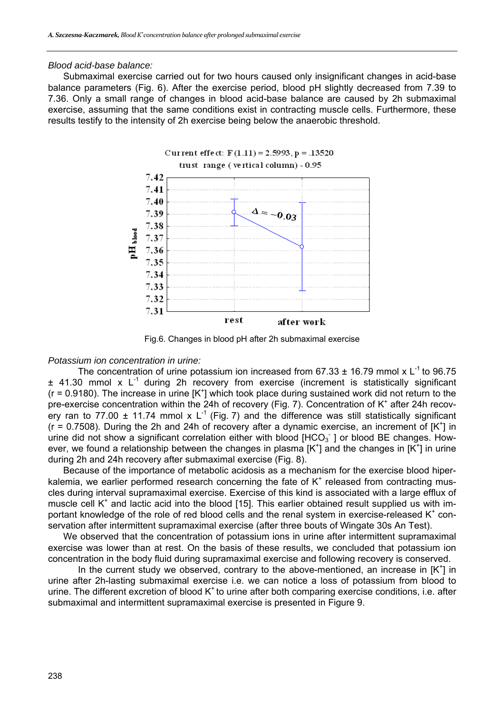#### *Blood acid-base balance:*

Submaximal exercise carried out for two hours caused only insignificant changes in acid-base balance parameters (Fig. 6). After the exercise period, blood pH slightly decreased from 7.39 to 7.36. Only a small range of changes in blood acid-base balance are caused by 2h submaximal exercise, assuming that the same conditions exist in contracting muscle cells. Furthermore, these results testify to the intensity of 2h exercise being below the anaerobic threshold.



Fig.6. Changes in blood pH after 2h submaximal exercise

#### *Potassium ion concentration in urine:*

The concentration of urine potassium ion increased from 67.33  $\pm$  16.79 mmol x L<sup>-1</sup> to 96.75  $\pm$  41.30 mmol x L<sup>-1</sup> during 2h recovery from exercise (increment is statistically significant  $(r = 0.9180)$ . The increase in urine  $[K^+]$  which took place during sustained work did not return to the pre-exercise concentration within the 24h of recovery (Fig. 7). Concentration of K<sup>+</sup> after 24h recovery ran to 77.00  $\pm$  11.74 mmol x L<sup>-1</sup> (Fig. 7) and the difference was still statistically significant  $(r = 0.7508)$ . During the 2h and 24h of recovery after a dynamic exercise, an increment of  $[K^+]$  in urine did not show a significant correlation either with blood  $[HCO<sub>3</sub>]$  or blood BE changes. However, we found a relationship between the changes in plasma [K<sup>+</sup>] and the changes in [K<sup>+</sup>] in urine during 2h and 24h recovery after submaximal exercise (Fig. 8).

Because of the importance of metabolic acidosis as a mechanism for the exercise blood hiperkalemia, we earlier performed research concerning the fate of  $K^+$  released from contracting muscles during interval supramaximal exercise. Exercise of this kind is associated with a large efflux of muscle cell  $K^+$  and lactic acid into the blood [15]. This earlier obtained result supplied us with important knowledge of the role of red blood cells and the renal system in exercise-released K<sup>+</sup> conservation after intermittent supramaximal exercise (after three bouts of Wingate 30s An Test).

We observed that the concentration of potassium ions in urine after intermittent supramaximal exercise was lower than at rest. On the basis of these results, we concluded that potassium ion concentration in the body fluid during supramaximal exercise and following recovery is conserved.

In the current study we observed, contrary to the above-mentioned, an increase in  $[K^+]$  in urine after 2h-lasting submaximal exercise i.e. we can notice a loss of potassium from blood to urine. The different excretion of blood  $K<sup>+</sup>$  to urine after both comparing exercise conditions, i.e. after submaximal and intermittent supramaximal exercise is presented in Figure 9.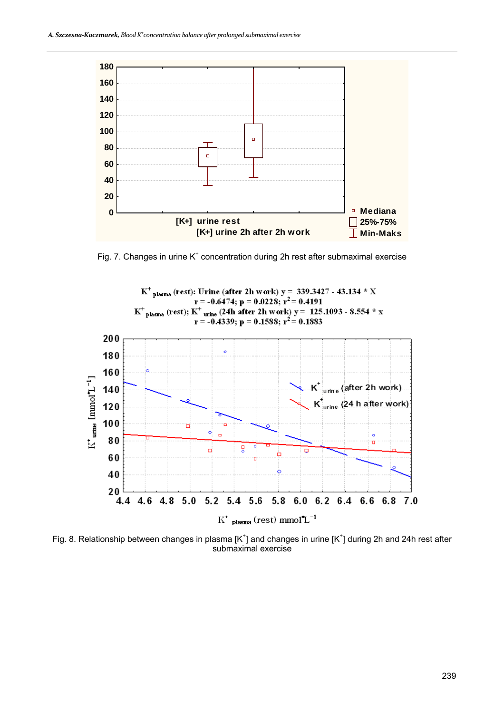

Fig. 7. Changes in urine  $K^+$  concentration during 2h rest after submaximal exercise



Fig. 8. Relationship between changes in plasma [K<sup>+</sup>] and changes in urine [K<sup>+</sup>] during 2h and 24h rest after submaximal exercise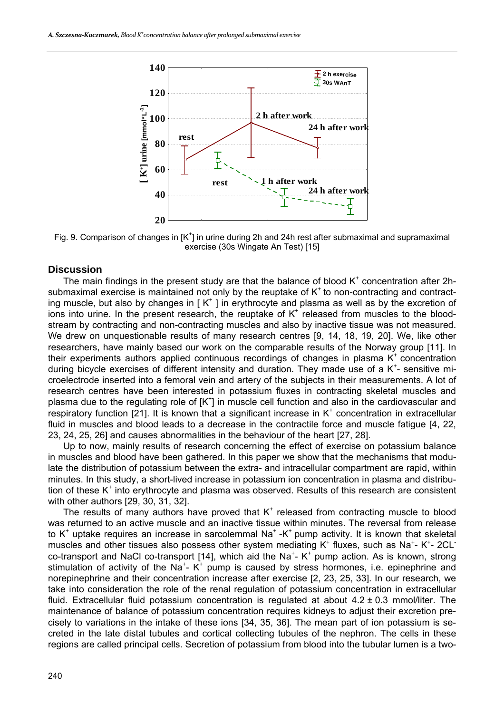

Fig. 9. Comparison of changes in  $[K^{\dagger}]$  in urine during 2h and 24h rest after submaximal and supramaximal exercise (30s Wingate An Test) [15]

#### **Discussion**

The main findings in the present study are that the balance of blood  $K<sup>+</sup>$  concentration after 2hsubmaximal exercise is maintained not only by the reuptake of  $K<sup>+</sup>$  to non-contracting and contracting muscle, but also by changes in  $K^+$ ] in erythrocyte and plasma as well as by the excretion of ions into urine. In the present research, the reuptake of  $K<sup>+</sup>$  released from muscles to the bloodstream by contracting and non-contracting muscles and also by inactive tissue was not measured. We drew on unquestionable results of many research centres [9, 14, 18, 19, 20]. We, like other researchers, have mainly based our work on the comparable results of the Norway group [11]. In their experiments authors applied continuous recordings of changes in plasma  $K^+$  concentration during bicycle exercises of different intensity and duration. They made use of a  $K^+$ - sensitive microelectrode inserted into a femoral vein and artery of the subjects in their measurements. A lot of research centres have been interested in potassium fluxes in contracting skeletal muscles and plasma due to the regulating role of [K<sup>+</sup>] in muscle cell function and also in the cardiovascular and respiratory function [21]. It is known that a significant increase in  $K^+$  concentration in extracellular fluid in muscles and blood leads to a decrease in the contractile force and muscle fatigue [4, 22, 23, 24, 25, 26] and causes abnormalities in the behaviour of the heart [27, 28].

Up to now, mainly results of research concerning the effect of exercise on potassium balance in muscles and blood have been gathered. In this paper we show that the mechanisms that modulate the distribution of potassium between the extra- and intracellular compartment are rapid, within minutes. In this study, a short-lived increase in potassium ion concentration in plasma and distribution of these  $K^+$  into erythrocyte and plasma was observed. Results of this research are consistent with other authors [29, 30, 31, 32].

The results of many authors have proved that  $K^+$  released from contracting muscle to blood was returned to an active muscle and an inactive tissue within minutes. The reversal from release to K<sup>+</sup> uptake requires an increase in sarcolemmal Na<sup>+</sup> -K<sup>+</sup> pump activity. It is known that skeletal muscles and other tissues also possess other system mediating  $K^+$  fluxes, such as Na<sup>+</sup>- K<sup>+</sup>- 2CL<sup>-</sup> co-transport and NaCl co-transport [14], which aid the Na<sup>+</sup>- K<sup>+</sup> pump action. As is known, strong stimulation of activity of the Na<sup>+</sup>- K<sup>+</sup> pump is caused by stress hormones, i.e. epinephrine and norepinephrine and their concentration increase after exercise [2, 23, 25, 33]. In our research, we take into consideration the role of the renal regulation of potassium concentration in extracellular fluid. Extracellular fluid potassium concentration is regulated at about  $4.2 \pm 0.3$  mmol/liter. The maintenance of balance of potassium concentration requires kidneys to adjust their excretion precisely to variations in the intake of these ions [34, 35, 36]. The mean part of ion potassium is secreted in the late distal tubules and cortical collecting tubules of the nephron. The cells in these regions are called principal cells. Secretion of potassium from blood into the tubular lumen is a two-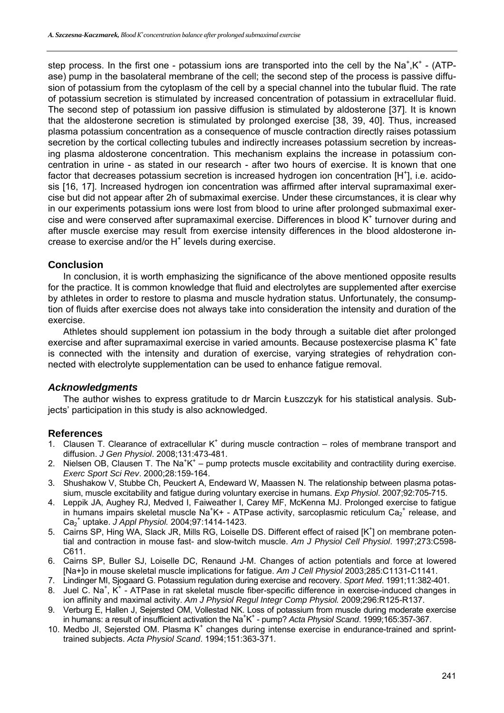step process. In the first one - potassium ions are transported into the cell by the Na<sup>+</sup>,K<sup>+</sup> - (ATPase) pump in the basolateral membrane of the cell; the second step of the process is passive diffusion of potassium from the cytoplasm of the cell by a special channel into the tubular fluid. The rate of potassium secretion is stimulated by increased concentration of potassium in extracellular fluid. The second step of potassium ion passive diffusion is stimulated by aldosterone [37]. It is known that the aldosterone secretion is stimulated by prolonged exercise [38, 39, 40]. Thus, increased plasma potassium concentration as a consequence of muscle contraction directly raises potassium secretion by the cortical collecting tubules and indirectly increases potassium secretion by increasing plasma aldosterone concentration. This mechanism explains the increase in potassium concentration in urine - as stated in our research - after two hours of exercise. It is known that one factor that decreases potassium secretion is increased hydrogen ion concentration [H<sup>+</sup>], i.e. acidosis [16, 17]. Increased hydrogen ion concentration was affirmed after interval supramaximal exercise but did not appear after 2h of submaximal exercise. Under these circumstances, it is clear why in our experiments potassium ions were lost from blood to urine after prolonged submaximal exercise and were conserved after supramaximal exercise. Differences in blood  $K^+$  turnover during and after muscle exercise may result from exercise intensity differences in the blood aldosterone increase to exercise and/or the  $H^+$  levels during exercise.

# **Conclusion**

In conclusion, it is worth emphasizing the significance of the above mentioned opposite results for the practice. It is common knowledge that fluid and electrolytes are supplemented after exercise by athletes in order to restore to plasma and muscle hydration status. Unfortunately, the consumption of fluids after exercise does not always take into consideration the intensity and duration of the exercise.

Athletes should supplement ion potassium in the body through a suitable diet after prolonged exercise and after supramaximal exercise in varied amounts. Because postexercise plasma K<sup>+</sup> fate is connected with the intensity and duration of exercise, varying strategies of rehydration connected with electrolyte supplementation can be used to enhance fatigue removal.

## *Acknowledgments*

The author wishes to express gratitude to dr Marcin Łuszczyk for his statistical analysis. Subjects' participation in this study is also acknowledged.

## **References**

- 1. Clausen T. Clearance of extracellular  $K^+$  during muscle contraction  $-$  roles of membrane transport and diffusion. *J Gen Physiol*. 2008;131:473-481.
- 2. Nielsen OB, Clausen T. The Na<sup>+</sup>K<sup>+</sup> pump protects muscle excitability and contractility during exercise. *Exerc Sport Sci Rev*. 2000;28:159-164.
- 3. Shushakow V, Stubbe Ch, Peuckert A, Endeward W, Maassen N. The relationship between plasma potassium, muscle excitability and fatigue during voluntary exercise in humans. *Exp Physiol*. 2007;92:705-715.
- 4. Leppik JA, Aughey RJ, Medved I, Faiweather I, Carey MF, McKenna MJ. Prolonged exercise to fatigue in humans impairs skeletal muscle Na<sup>+</sup>K+ - ATPase activity, sarcoplasmic reticulum Ca<sub>2</sub><sup>+</sup> release, and Ca2 + uptake. *J Appl Physiol.* 2004;97:1414-1423.
- 5. Cairns SP, Hing WA, Slack JR, Mills RG, Loiselle DS. Different effect of raised [K<sup>+</sup>] on membrane potential and contraction in mouse fast- and slow-twitch muscle. *Am J Physiol Cell Physiol*. 1997;273:C598- C611.
- 6. Cairns SP, Buller SJ, Loiselle DC, Renaund J-M. Changes of action potentials and force at lowered [Na+]o in mouse skeletal muscle implications for fatigue. *Am J Cell Physiol* 2003;285:C1131-C1141.
- 7. Lindinger MI, Sjogaard G. Potassium regulation during exercise and recovery. *Sport Med*. 1991;11:382-401.
- 8. Juel C. Na<sup>+</sup>, K<sup>+</sup> ATPase in rat skeletal muscle fiber-specific difference in exercise-induced changes in ion affinity and maximal activity. *Am J Physiol Regul Integr Comp Physiol.* 2009;296:R125-R137.
- 9. Verburg E, Hallen J, Sejersted OM, Vollestad NK. Loss of potassium from muscle during moderate exercise in humans: a result of insufficient activation the Na<sup>+</sup>K<sup>+</sup> - pump? Acta Physiol Scand. 1999;165:357-367.
- 10. Medbo JI, Sejersted OM. Plasma K<sup>+</sup> changes during intense exercise in endurance-trained and sprinttrained subjects. *Acta Physiol Scand*. 1994;151:363-371.